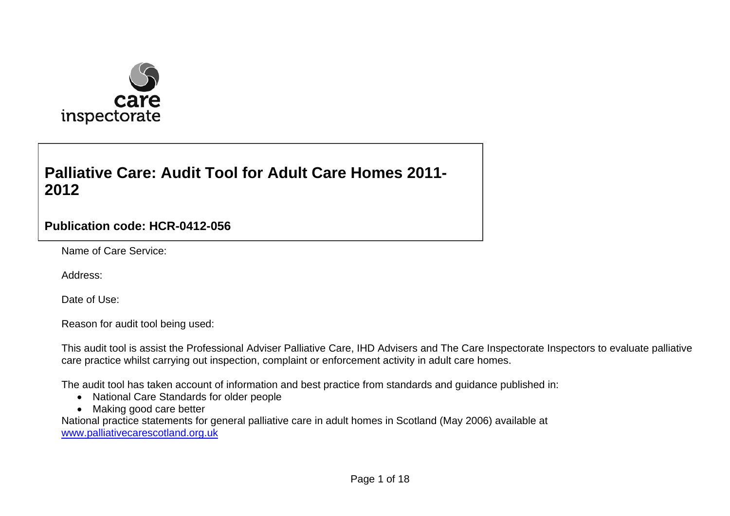

## **Palliative Care: Audit Tool for Adult Care Homes 2011-2012**

## **Publication code: HCR-0412-056**

Name of Care Service:

Address:

Date of Use:

Reason for audit tool being used:

This audit tool is assist the Professional Adviser Palliative Care, IHD Advisers and The Care Inspectorate Inspectors to evaluate palliative care practice whilst carrying out inspection, complaint or enforcement activity in adult care homes.

The audit tool has taken account of information and best practice from standards and guidance published in:

- National Care Standards for older people
- Making good care better

National practice statements for general palliative care in adult homes in Scotland (May 2006) available at [www.palliativecarescotland.org.uk](http://www.palliativecarescotland.org.uk/)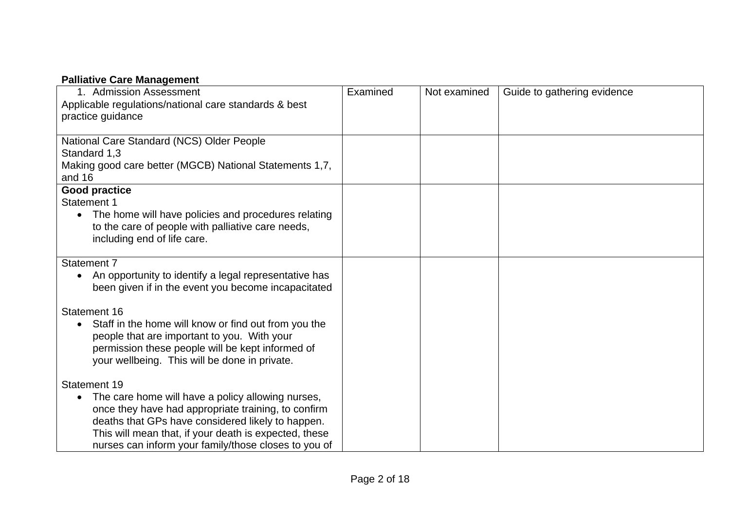## **Palliative Care Management**

| 1. Admission Assessment                                                                                                   | Examined | Not examined | Guide to gathering evidence |
|---------------------------------------------------------------------------------------------------------------------------|----------|--------------|-----------------------------|
| Applicable regulations/national care standards & best                                                                     |          |              |                             |
| practice guidance                                                                                                         |          |              |                             |
| National Care Standard (NCS) Older People                                                                                 |          |              |                             |
| Standard 1,3                                                                                                              |          |              |                             |
| Making good care better (MGCB) National Statements 1,7,                                                                   |          |              |                             |
| and 16                                                                                                                    |          |              |                             |
| <b>Good practice</b><br><b>Statement 1</b>                                                                                |          |              |                             |
| The home will have policies and procedures relating                                                                       |          |              |                             |
| to the care of people with palliative care needs,                                                                         |          |              |                             |
| including end of life care.                                                                                               |          |              |                             |
|                                                                                                                           |          |              |                             |
| Statement 7                                                                                                               |          |              |                             |
| An opportunity to identify a legal representative has<br>$\bullet$<br>been given if in the event you become incapacitated |          |              |                             |
|                                                                                                                           |          |              |                             |
| <b>Statement 16</b>                                                                                                       |          |              |                             |
| Staff in the home will know or find out from you the                                                                      |          |              |                             |
| people that are important to you. With your                                                                               |          |              |                             |
| permission these people will be kept informed of                                                                          |          |              |                             |
| your wellbeing. This will be done in private.                                                                             |          |              |                             |
| Statement 19                                                                                                              |          |              |                             |
|                                                                                                                           |          |              |                             |
| The care home will have a policy allowing nurses,<br>$\bullet$<br>once they have had appropriate training, to confirm     |          |              |                             |
| deaths that GPs have considered likely to happen.                                                                         |          |              |                             |
| This will mean that, if your death is expected, these                                                                     |          |              |                             |
| nurses can inform your family/those closes to you of                                                                      |          |              |                             |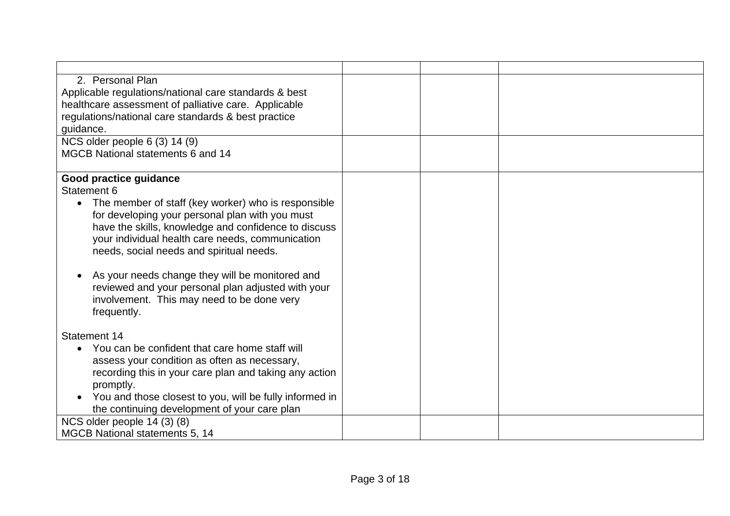| 2. Personal Plan                                        |  |  |
|---------------------------------------------------------|--|--|
| Applicable regulations/national care standards & best   |  |  |
| healthcare assessment of palliative care. Applicable    |  |  |
| regulations/national care standards & best practice     |  |  |
| quidance.                                               |  |  |
| NCS older people 6 (3) 14 (9)                           |  |  |
| MGCB National statements 6 and 14                       |  |  |
| Good practice guidance                                  |  |  |
| Statement 6                                             |  |  |
| The member of staff (key worker) who is responsible     |  |  |
| for developing your personal plan with you must         |  |  |
| have the skills, knowledge and confidence to discuss    |  |  |
| your individual health care needs, communication        |  |  |
| needs, social needs and spiritual needs.                |  |  |
|                                                         |  |  |
| As your needs change they will be monitored and         |  |  |
| reviewed and your personal plan adjusted with your      |  |  |
| involvement. This may need to be done very              |  |  |
| frequently.                                             |  |  |
|                                                         |  |  |
| Statement 14                                            |  |  |
| • You can be confident that care home staff will        |  |  |
| assess your condition as often as necessary,            |  |  |
| recording this in your care plan and taking any action  |  |  |
| promptly.                                               |  |  |
| You and those closest to you, will be fully informed in |  |  |
| the continuing development of your care plan            |  |  |
| NCS older people 14 (3) (8)                             |  |  |
| MGCB National statements 5, 14                          |  |  |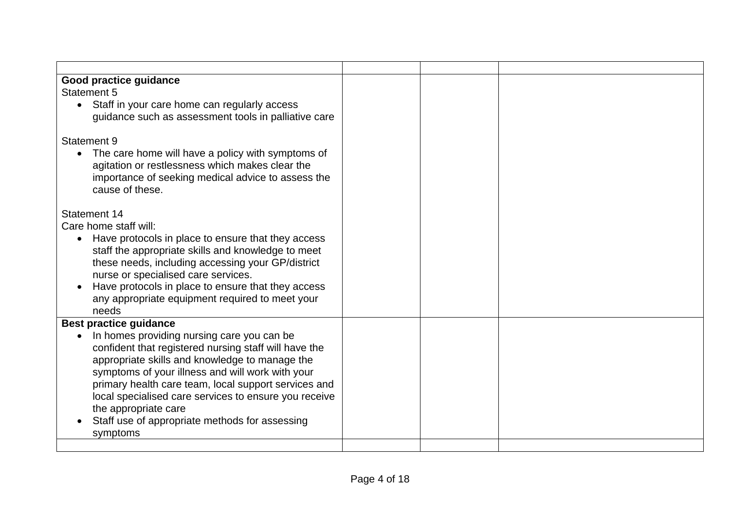| <b>Good practice guidance</b>                             |  |  |
|-----------------------------------------------------------|--|--|
| <b>Statement 5</b>                                        |  |  |
| Staff in your care home can regularly access<br>$\bullet$ |  |  |
| guidance such as assessment tools in palliative care      |  |  |
| Statement 9                                               |  |  |
| • The care home will have a policy with symptoms of       |  |  |
| agitation or restlessness which makes clear the           |  |  |
| importance of seeking medical advice to assess the        |  |  |
| cause of these.                                           |  |  |
| <b>Statement 14</b>                                       |  |  |
| Care home staff will:                                     |  |  |
| Have protocols in place to ensure that they access        |  |  |
| staff the appropriate skills and knowledge to meet        |  |  |
| these needs, including accessing your GP/district         |  |  |
| nurse or specialised care services.                       |  |  |
| Have protocols in place to ensure that they access        |  |  |
| any appropriate equipment required to meet your           |  |  |
| needs                                                     |  |  |
| <b>Best practice guidance</b>                             |  |  |
| In homes providing nursing care you can be                |  |  |
| confident that registered nursing staff will have the     |  |  |
| appropriate skills and knowledge to manage the            |  |  |
| symptoms of your illness and will work with your          |  |  |
| primary health care team, local support services and      |  |  |
| local specialised care services to ensure you receive     |  |  |
| the appropriate care                                      |  |  |
| Staff use of appropriate methods for assessing            |  |  |
| symptoms                                                  |  |  |
|                                                           |  |  |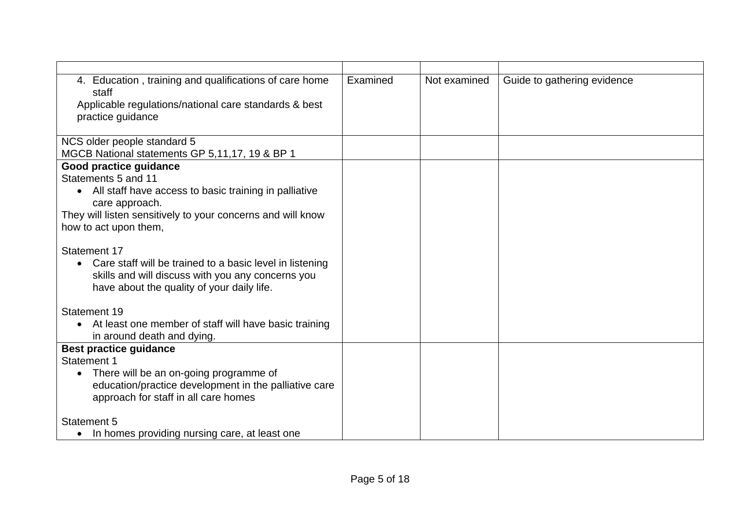| 4. Education, training and qualifications of care home<br>staff                                 | Examined | Not examined | Guide to gathering evidence |
|-------------------------------------------------------------------------------------------------|----------|--------------|-----------------------------|
| Applicable regulations/national care standards & best                                           |          |              |                             |
| practice guidance                                                                               |          |              |                             |
|                                                                                                 |          |              |                             |
| NCS older people standard 5                                                                     |          |              |                             |
| MGCB National statements GP 5,11,17, 19 & BP 1<br>Good practice guidance                        |          |              |                             |
| Statements 5 and 11                                                                             |          |              |                             |
| • All staff have access to basic training in palliative                                         |          |              |                             |
| care approach.                                                                                  |          |              |                             |
| They will listen sensitively to your concerns and will know                                     |          |              |                             |
| how to act upon them,                                                                           |          |              |                             |
|                                                                                                 |          |              |                             |
| <b>Statement 17</b>                                                                             |          |              |                             |
| Care staff will be trained to a basic level in listening                                        |          |              |                             |
| skills and will discuss with you any concerns you<br>have about the quality of your daily life. |          |              |                             |
|                                                                                                 |          |              |                             |
| Statement 19                                                                                    |          |              |                             |
| At least one member of staff will have basic training                                           |          |              |                             |
| in around death and dying.                                                                      |          |              |                             |
| <b>Best practice guidance</b>                                                                   |          |              |                             |
| Statement 1                                                                                     |          |              |                             |
| There will be an on-going programme of<br>$\bullet$                                             |          |              |                             |
| education/practice development in the palliative care                                           |          |              |                             |
| approach for staff in all care homes                                                            |          |              |                             |
| Statement 5                                                                                     |          |              |                             |
| In homes providing nursing care, at least one<br>$\bullet$                                      |          |              |                             |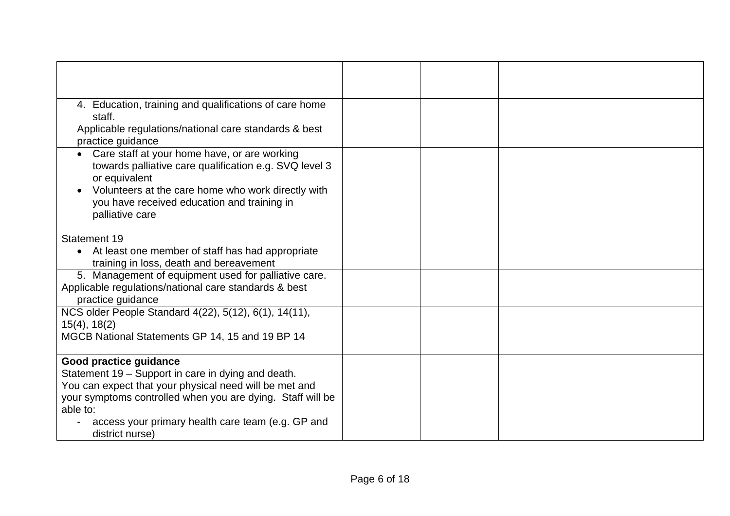| 4. Education, training and qualifications of care home<br>staff.<br>Applicable regulations/national care standards & best<br>practice guidance                                                                                                                                           |  |  |
|------------------------------------------------------------------------------------------------------------------------------------------------------------------------------------------------------------------------------------------------------------------------------------------|--|--|
| Care staff at your home have, or are working<br>towards palliative care qualification e.g. SVQ level 3<br>or equivalent<br>Volunteers at the care home who work directly with<br>you have received education and training in<br>palliative care                                          |  |  |
| Statement 19<br>At least one member of staff has had appropriate<br>$\bullet$<br>training in loss, death and bereavement                                                                                                                                                                 |  |  |
| 5. Management of equipment used for palliative care.<br>Applicable regulations/national care standards & best<br>practice guidance                                                                                                                                                       |  |  |
| NCS older People Standard 4(22), 5(12), 6(1), 14(11),<br>$15(4)$ , $18(2)$<br>MGCB National Statements GP 14, 15 and 19 BP 14                                                                                                                                                            |  |  |
| Good practice guidance<br>Statement 19 - Support in care in dying and death.<br>You can expect that your physical need will be met and<br>your symptoms controlled when you are dying. Staff will be<br>able to:<br>access your primary health care team (e.g. GP and<br>district nurse) |  |  |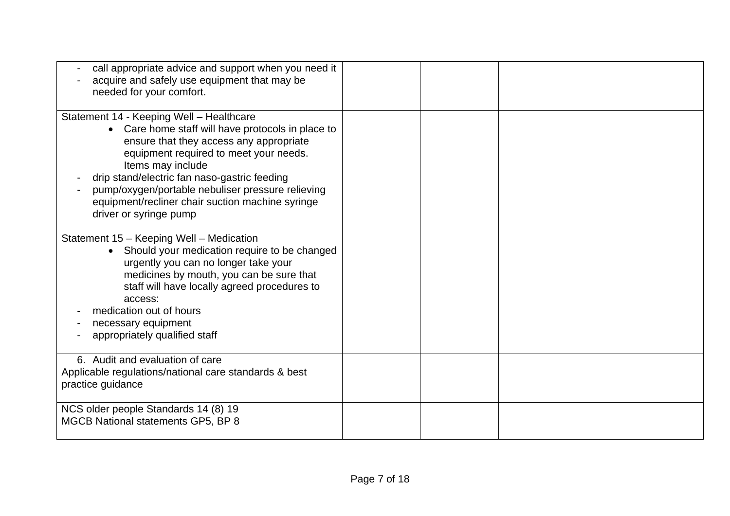| call appropriate advice and support when you need it<br>acquire and safely use equipment that may be<br>needed for your comfort.                                                                                                                                                                                                                                                           |  |  |
|--------------------------------------------------------------------------------------------------------------------------------------------------------------------------------------------------------------------------------------------------------------------------------------------------------------------------------------------------------------------------------------------|--|--|
| Statement 14 - Keeping Well - Healthcare<br>• Care home staff will have protocols in place to<br>ensure that they access any appropriate<br>equipment required to meet your needs.<br>Items may include<br>drip stand/electric fan naso-gastric feeding<br>pump/oxygen/portable nebuliser pressure relieving<br>equipment/recliner chair suction machine syringe<br>driver or syringe pump |  |  |
| Statement 15 - Keeping Well - Medication<br>• Should your medication require to be changed<br>urgently you can no longer take your<br>medicines by mouth, you can be sure that<br>staff will have locally agreed procedures to<br>access:<br>medication out of hours<br>necessary equipment<br>appropriately qualified staff                                                               |  |  |
| 6. Audit and evaluation of care<br>Applicable regulations/national care standards & best<br>practice guidance                                                                                                                                                                                                                                                                              |  |  |
| NCS older people Standards 14 (8) 19<br>MGCB National statements GP5, BP 8                                                                                                                                                                                                                                                                                                                 |  |  |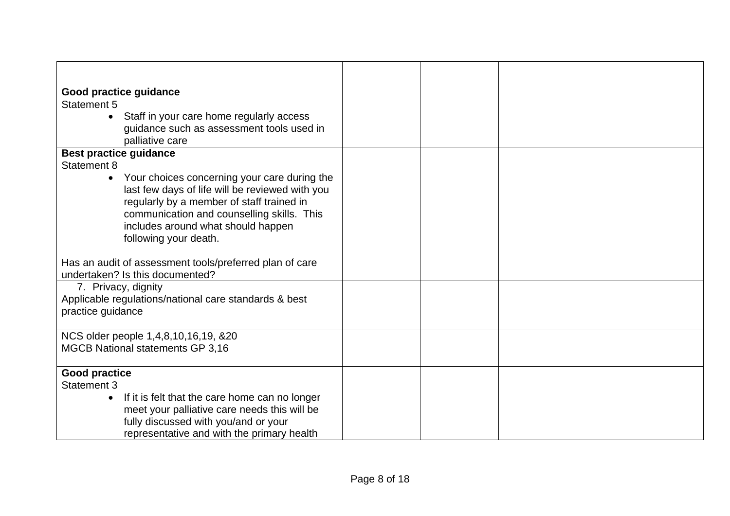| Good practice guidance<br><b>Statement 5</b><br>Staff in your care home regularly access<br>$\bullet$                                                                                                                                                                                                                         |  |  |
|-------------------------------------------------------------------------------------------------------------------------------------------------------------------------------------------------------------------------------------------------------------------------------------------------------------------------------|--|--|
| guidance such as assessment tools used in<br>palliative care                                                                                                                                                                                                                                                                  |  |  |
| <b>Best practice guidance</b><br><b>Statement 8</b><br>Your choices concerning your care during the<br>$\bullet$<br>last few days of life will be reviewed with you<br>regularly by a member of staff trained in<br>communication and counselling skills. This<br>includes around what should happen<br>following your death. |  |  |
| Has an audit of assessment tools/preferred plan of care<br>undertaken? Is this documented?                                                                                                                                                                                                                                    |  |  |
| 7. Privacy, dignity<br>Applicable regulations/national care standards & best<br>practice guidance                                                                                                                                                                                                                             |  |  |
| NCS older people 1,4,8,10,16,19, &20<br><b>MGCB National statements GP 3,16</b>                                                                                                                                                                                                                                               |  |  |
| <b>Good practice</b><br><b>Statement 3</b><br>If it is felt that the care home can no longer<br>$\bullet$<br>meet your palliative care needs this will be<br>fully discussed with you/and or your<br>representative and with the primary health                                                                               |  |  |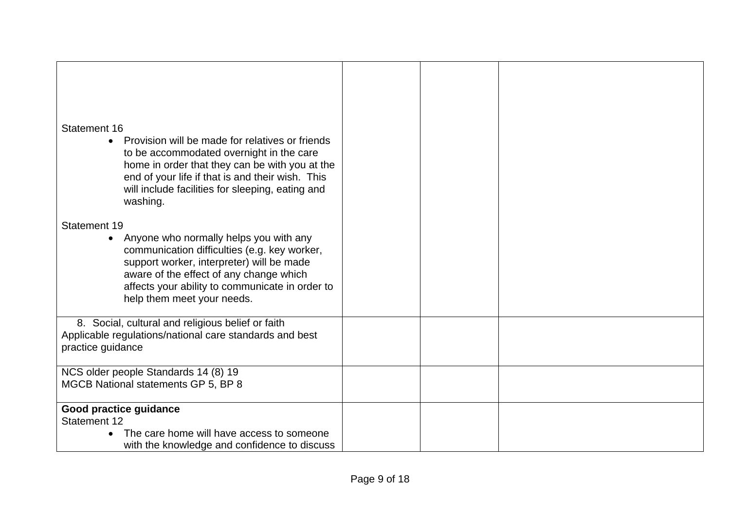| Statement 16<br>Provision will be made for relatives or friends<br>$\bullet$<br>to be accommodated overnight in the care<br>home in order that they can be with you at the<br>end of your life if that is and their wish. This<br>will include facilities for sleeping, eating and                       |  |  |
|----------------------------------------------------------------------------------------------------------------------------------------------------------------------------------------------------------------------------------------------------------------------------------------------------------|--|--|
| washing.<br>Statement 19<br>Anyone who normally helps you with any<br>$\bullet$<br>communication difficulties (e.g. key worker,<br>support worker, interpreter) will be made<br>aware of the effect of any change which<br>affects your ability to communicate in order to<br>help them meet your needs. |  |  |
| 8. Social, cultural and religious belief or faith<br>Applicable regulations/national care standards and best<br>practice guidance                                                                                                                                                                        |  |  |
| NCS older people Standards 14 (8) 19<br>MGCB National statements GP 5, BP 8                                                                                                                                                                                                                              |  |  |
| Good practice guidance<br><b>Statement 12</b><br>The care home will have access to someone<br>with the knowledge and confidence to discuss                                                                                                                                                               |  |  |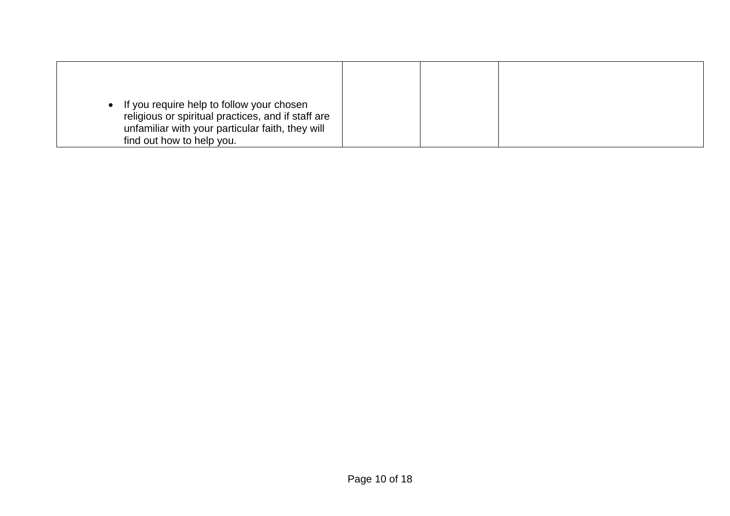| If you require help to follow your chosen<br>religious or spiritual practices, and if staff are |  |  |
|-------------------------------------------------------------------------------------------------|--|--|
| unfamiliar with your particular faith, they will                                                |  |  |
| find out how to help you.                                                                       |  |  |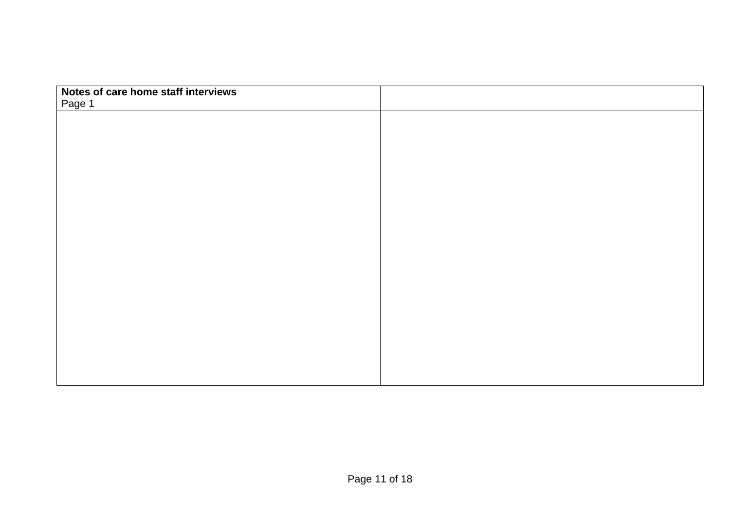| Notes of care home staff interviews |  |
|-------------------------------------|--|
| Page 1                              |  |
|                                     |  |
|                                     |  |
|                                     |  |
|                                     |  |
|                                     |  |
|                                     |  |
|                                     |  |
|                                     |  |
|                                     |  |
|                                     |  |
|                                     |  |
|                                     |  |
|                                     |  |
|                                     |  |
|                                     |  |
|                                     |  |
|                                     |  |
|                                     |  |
|                                     |  |
|                                     |  |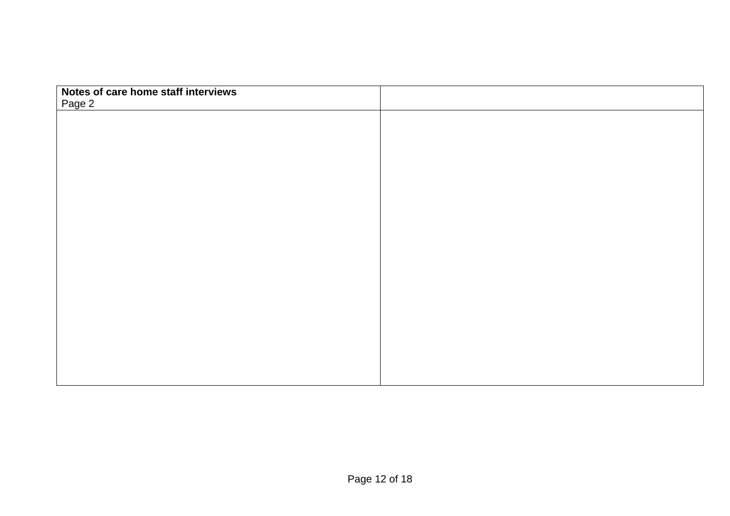| Notes of care home staff interviews |  |
|-------------------------------------|--|
| Page 2                              |  |
|                                     |  |
|                                     |  |
|                                     |  |
|                                     |  |
|                                     |  |
|                                     |  |
|                                     |  |
|                                     |  |
|                                     |  |
|                                     |  |
|                                     |  |
|                                     |  |
|                                     |  |
|                                     |  |
|                                     |  |
|                                     |  |
|                                     |  |
|                                     |  |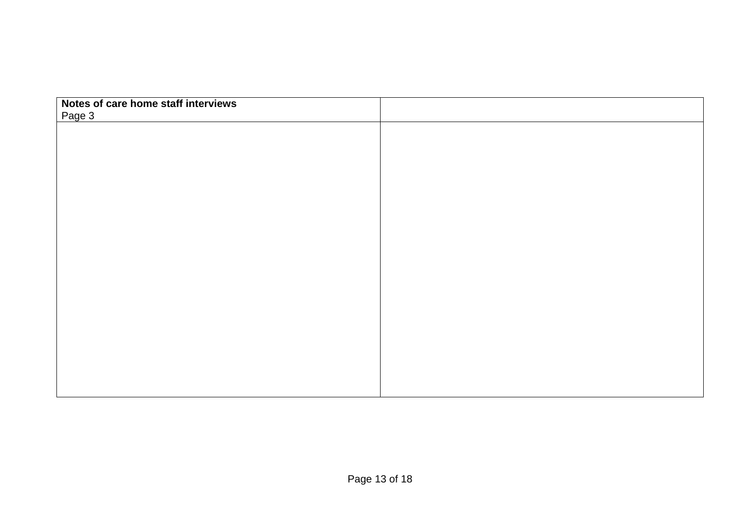| Notes of care home staff interviews |  |
|-------------------------------------|--|
| Page 3                              |  |
|                                     |  |
|                                     |  |
|                                     |  |
|                                     |  |
|                                     |  |
|                                     |  |
|                                     |  |
|                                     |  |
|                                     |  |
|                                     |  |
|                                     |  |
|                                     |  |
|                                     |  |
|                                     |  |
|                                     |  |
|                                     |  |
|                                     |  |
|                                     |  |
|                                     |  |
|                                     |  |
|                                     |  |
|                                     |  |
|                                     |  |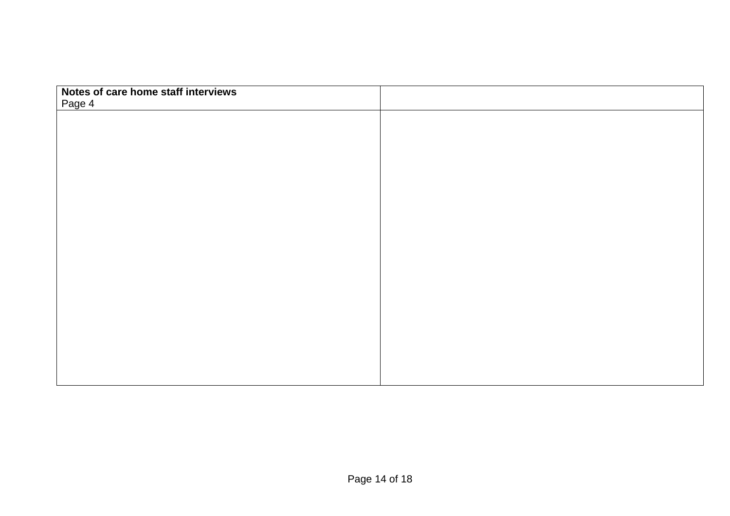| Notes of care home staff interviews |  |
|-------------------------------------|--|
| Page 4                              |  |
|                                     |  |
|                                     |  |
|                                     |  |
|                                     |  |
|                                     |  |
|                                     |  |
|                                     |  |
|                                     |  |
|                                     |  |
|                                     |  |
|                                     |  |
|                                     |  |
|                                     |  |
|                                     |  |
|                                     |  |
|                                     |  |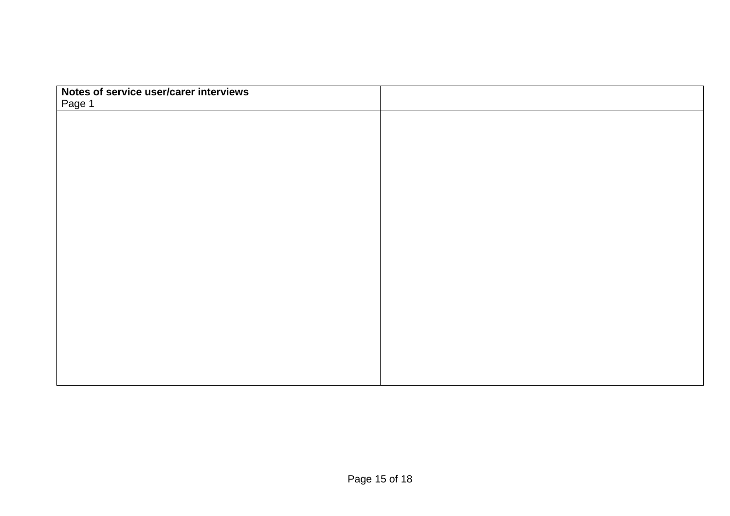| Notes of service user/carer interviews |  |
|----------------------------------------|--|
| Page 1                                 |  |
|                                        |  |
|                                        |  |
|                                        |  |
|                                        |  |
|                                        |  |
|                                        |  |
|                                        |  |
|                                        |  |
|                                        |  |
|                                        |  |
|                                        |  |
|                                        |  |
|                                        |  |
|                                        |  |
|                                        |  |
|                                        |  |
|                                        |  |
|                                        |  |
|                                        |  |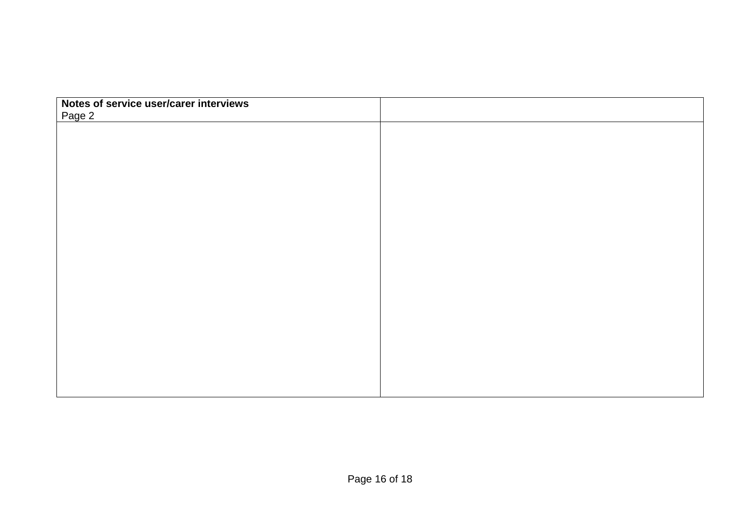| Notes of service user/carer interviews |  |
|----------------------------------------|--|
| Page 2                                 |  |
|                                        |  |
|                                        |  |
|                                        |  |
|                                        |  |
|                                        |  |
|                                        |  |
|                                        |  |
|                                        |  |
|                                        |  |
|                                        |  |
|                                        |  |
|                                        |  |
|                                        |  |
|                                        |  |
|                                        |  |
|                                        |  |
|                                        |  |
|                                        |  |
|                                        |  |
|                                        |  |
|                                        |  |
|                                        |  |
|                                        |  |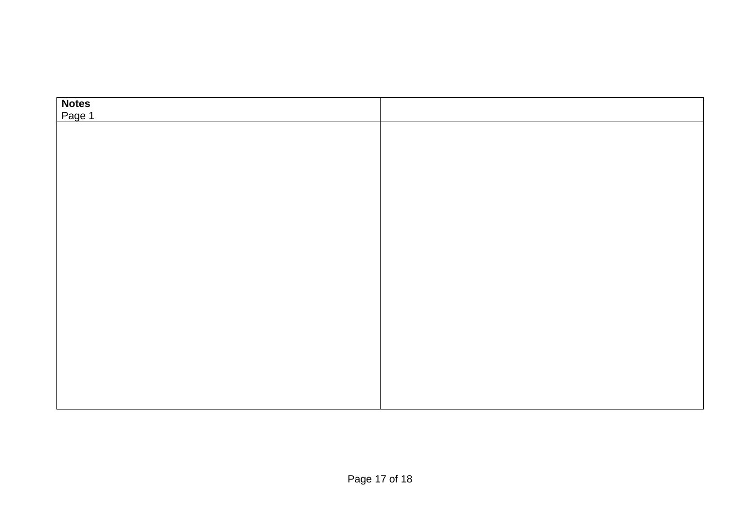| Notes<br>Page 1 |  |
|-----------------|--|
|                 |  |
|                 |  |
|                 |  |
|                 |  |
|                 |  |
|                 |  |
|                 |  |
|                 |  |
|                 |  |
|                 |  |
|                 |  |
|                 |  |
|                 |  |
|                 |  |
|                 |  |
|                 |  |
|                 |  |
|                 |  |
|                 |  |
|                 |  |
|                 |  |
|                 |  |
|                 |  |
|                 |  |